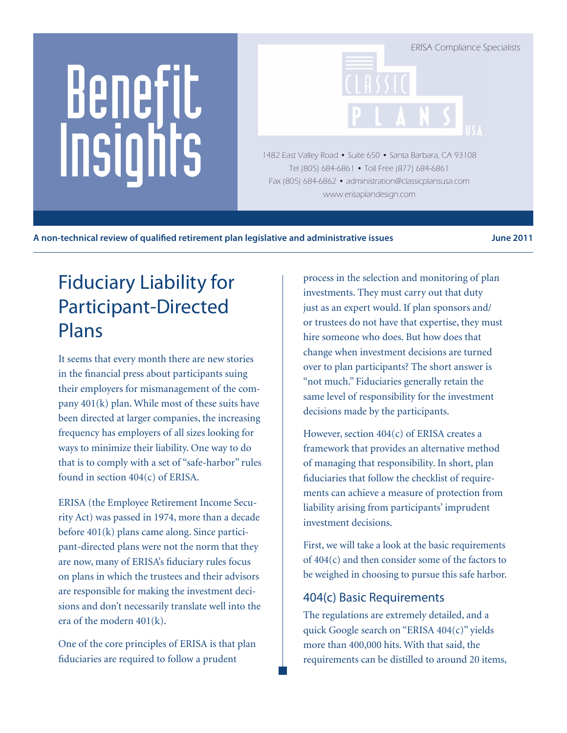# Benefit Insights

ERISA Compliance Specialists 1482 East Valley Road • Suite 650 • Santa Barbara, CA 93108

Tel (805) 684-6861 • Toll Free (877) 684-6861 Fax (805) 684-6862 • administration@classicplansusa.com www.erisaplandesign.com

A non-technical review of qualified retirement plan legislative and administrative issues **Fig. 10.18.** June 2011

# Fiduciary Liability for Participant-Directed Plans

It seems that every month there are new stories in the financial press about participants suing their employers for mismanagement of the company 401(k) plan. While most of these suits have been directed at larger companies, the increasing frequency has employers of all sizes looking for ways to minimize their liability. One way to do that is to comply with a set of "safe-harbor" rules found in section  $404(c)$  of ERISA.

ERISA (the Employee Retirement Income Security Act) was passed in 1974, more than a decade before 401(k) plans came along. Since participant-directed plans were not the norm that they are now, many of ERISA's fiduciary rules focus on plans in which the trustees and their advisors are responsible for making the investment decisions and don't necessarily translate well into the era of the modern 401(k).

One of the core principles of ERISA is that plan fiduciaries are required to follow a prudent

process in the selection and monitoring of plan investments. They must carry out that duty just as an expert would. If plan sponsors and/ or trustees do not have that expertise, they must hire someone who does. But how does that change when investment decisions are turned over to plan participants? The short answer is "not much." Fiduciaries generally retain the same level of responsibility for the investment decisions made by the participants.

However, section  $404(c)$  of ERISA creates a framework that provides an alternative method of managing that responsibility. In short, plan fiduciaries that follow the checklist of requirements can achieve a measure of protection from liability arising from participants' imprudent investment decisions.

First, we will take a look at the basic requirements of 404(c) and then consider some of the factors to be weighed in choosing to pursue this safe harbor.

# 404(c) Basic Requirements

The regulations are extremely detailed, and a quick Google search on "ERISA 404(c)" yields more than 400,000 hits. With that said, the requirements can be distilled to around 20 items,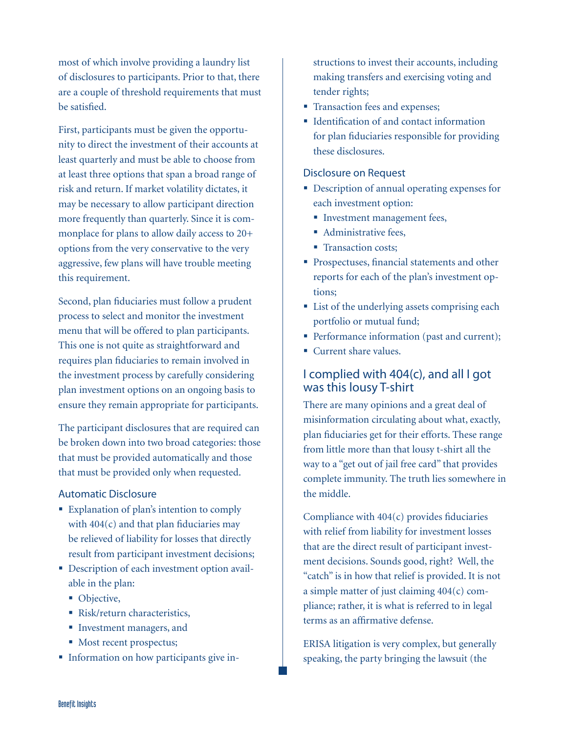most of which involve providing a laundry list of disclosures to participants. Prior to that, there are a couple of threshold requirements that must be satisfied.

First, participants must be given the opportunity to direct the investment of their accounts at least quarterly and must be able to choose from at least three options that span a broad range of risk and return. If market volatility dictates, it may be necessary to allow participant direction more frequently than quarterly. Since it is commonplace for plans to allow daily access to 20+ options from the very conservative to the very aggressive, few plans will have trouble meeting this requirement.

Second, plan fiduciaries must follow a prudent process to select and monitor the investment menu that will be offered to plan participants. This one is not quite as straightforward and requires plan fiduciaries to remain involved in the investment process by carefully considering plan investment options on an ongoing basis to ensure they remain appropriate for participants.

The participant disclosures that are required can be broken down into two broad categories: those that must be provided automatically and those that must be provided only when requested.

#### Automatic Disclosure

- **Explanation of plan's intention to comply** with 404(c) and that plan fiduciaries may be relieved of liability for losses that directly result from participant investment decisions;
- Description of each investment option available in the plan:
	- Objective,
	- Risk/return characteristics,
	- Investment managers, and
	- Most recent prospectus;
- **Information on how participants give in-**

structions to invest their accounts, including making transfers and exercising voting and tender rights;

- **Transaction fees and expenses;**
- Identification of and contact information for plan fiduciaries responsible for providing these disclosures.

#### Disclosure on Request

- Description of annual operating expenses for each investment option:
	- **Investment management fees,**
	- Administrative fees,
	- Transaction costs:
- **Prospectuses, financial statements and other** reports for each of the plan's investment options;
- List of the underlying assets comprising each portfolio or mutual fund;
- Performance information (past and current);
- Current share values.

#### I complied with 404(c), and all I got was this lousy T-shirt

There are many opinions and a great deal of misinformation circulating about what, exactly, plan fiduciaries get for their efforts. These range from little more than that lousy t-shirt all the way to a "get out of jail free card" that provides complete immunity. The truth lies somewhere in the middle.

Compliance with 404(c) provides fiduciaries with relief from liability for investment losses that are the direct result of participant investment decisions. Sounds good, right? Well, the "catch" is in how that relief is provided. It is not a simple matter of just claiming 404(c) compliance; rather, it is what is referred to in legal terms as an affirmative defense.

ERISA litigation is very complex, but generally speaking, the party bringing the lawsuit (the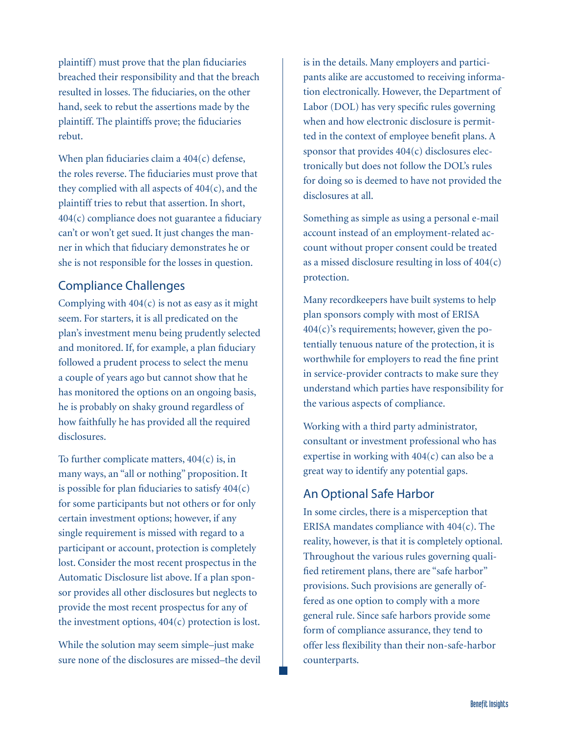plaintiff) must prove that the plan fiduciaries breached their responsibility and that the breach resulted in losses. The fiduciaries, on the other hand, seek to rebut the assertions made by the plaintiff. The plaintiffs prove; the fiduciaries rebut.

When plan fiduciaries claim a 404(c) defense, the roles reverse. The fiduciaries must prove that they complied with all aspects of  $404(c)$ , and the plaintiff tries to rebut that assertion. In short, 404(c) compliance does not guarantee a fiduciary can't or won't get sued. It just changes the manner in which that fiduciary demonstrates he or she is not responsible for the losses in question.

## Compliance Challenges

Complying with  $404(c)$  is not as easy as it might seem. For starters, it is all predicated on the plan's investment menu being prudently selected and monitored. If, for example, a plan fiduciary followed a prudent process to select the menu a couple of years ago but cannot show that he has monitored the options on an ongoing basis, he is probably on shaky ground regardless of how faithfully he has provided all the required disclosures.

To further complicate matters,  $404(c)$  is, in many ways, an "all or nothing" proposition. It is possible for plan fiduciaries to satisfy  $404(c)$ for some participants but not others or for only certain investment options; however, if any single requirement is missed with regard to a participant or account, protection is completely lost. Consider the most recent prospectus in the Automatic Disclosure list above. If a plan sponsor provides all other disclosures but neglects to provide the most recent prospectus for any of the investment options,  $404(c)$  protection is lost.

While the solution may seem simple–just make sure none of the disclosures are missed–the devil is in the details. Many employers and participants alike are accustomed to receiving information electronically. However, the Department of Labor (DOL) has very specific rules governing when and how electronic disclosure is permitted in the context of employee benefit plans. A sponsor that provides 404(c) disclosures electronically but does not follow the DOL's rules for doing so is deemed to have not provided the disclosures at all.

Something as simple as using a personal e-mail account instead of an employment-related account without proper consent could be treated as a missed disclosure resulting in loss of  $404(c)$ protection.

Many recordkeepers have built systems to help plan sponsors comply with most of ERISA  $404(c)$ 's requirements; however, given the potentially tenuous nature of the protection, it is worthwhile for employers to read the fine print in service-provider contracts to make sure they understand which parties have responsibility for the various aspects of compliance.

Working with a third party administrator, consultant or investment professional who has expertise in working with  $404(c)$  can also be a great way to identify any potential gaps.

#### An Optional Safe Harbor

In some circles, there is a misperception that ERISA mandates compliance with 404(c). The reality, however, is that it is completely optional. Throughout the various rules governing qualified retirement plans, there are "safe harbor" provisions. Such provisions are generally offered as one option to comply with a more general rule. Since safe harbors provide some form of compliance assurance, they tend to offer less flexibility than their non-safe-harbor counterparts.